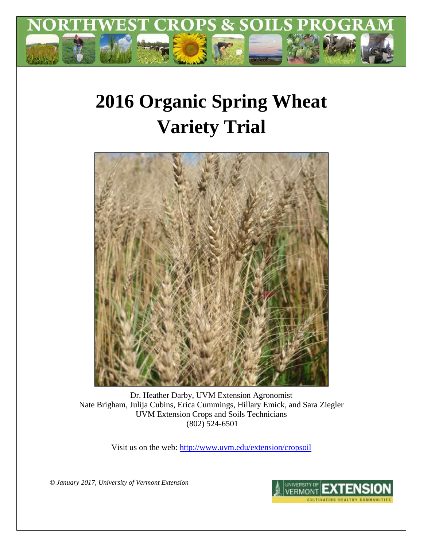

# **2016 Organic Spring Wheat Variety Trial**



Dr. Heather Darby, UVM Extension Agronomist Nate Brigham, Julija Cubins, Erica Cummings, Hillary Emick, and Sara Ziegler UVM Extension Crops and Soils Technicians (802) 524-6501

Visit us on the web:<http://www.uvm.edu/extension/cropsoil>

*© January 2017, University of Vermont Extension*

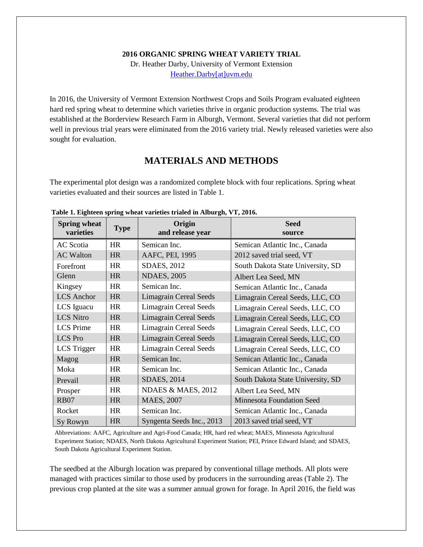#### **2016 ORGANIC SPRING WHEAT VARIETY TRIAL**

Dr. Heather Darby, University of Vermont Extension [Heather.Darby\[at\]uvm.edu](mailto:Heather.Darby@uvm.edu)

In 2016, the University of Vermont Extension Northwest Crops and Soils Program evaluated eighteen hard red spring wheat to determine which varieties thrive in organic production systems. The trial was established at the Borderview Research Farm in Alburgh, Vermont. Several varieties that did not perform well in previous trial years were eliminated from the 2016 variety trial. Newly released varieties were also sought for evaluation.

### **MATERIALS AND METHODS**

The experimental plot design was a randomized complete block with four replications. Spring wheat varieties evaluated and their sources are listed in Table 1.

| <b>Spring wheat</b><br>varieties | <b>Type</b> | Origin<br>and release year    | <b>Seed</b><br>source             |
|----------------------------------|-------------|-------------------------------|-----------------------------------|
| <b>AC</b> Scotia                 | <b>HR</b>   | Semican Inc.                  | Semican Atlantic Inc., Canada     |
| <b>AC Walton</b>                 | <b>HR</b>   | AAFC, PEI, 1995               | 2012 saved trial seed, VT         |
| Forefront                        | <b>HR</b>   | SDAES, 2012                   | South Dakota State University, SD |
| Glenn                            | <b>HR</b>   | <b>NDAES, 2005</b>            | Albert Lea Seed, MN               |
| Kingsey                          | <b>HR</b>   | Semican Inc.                  | Semican Atlantic Inc., Canada     |
| <b>LCS</b> Anchor                | <b>HR</b>   | <b>Limagrain Cereal Seeds</b> | Limagrain Cereal Seeds, LLC, CO   |
| LCS Iguacu                       | <b>HR</b>   | <b>Limagrain Cereal Seeds</b> | Limagrain Cereal Seeds, LLC, CO   |
| <b>LCS Nitro</b>                 | <b>HR</b>   | <b>Limagrain Cereal Seeds</b> | Limagrain Cereal Seeds, LLC, CO   |
| <b>LCS</b> Prime                 | HR          | <b>Limagrain Cereal Seeds</b> | Limagrain Cereal Seeds, LLC, CO   |
| <b>LCS</b> Pro                   | <b>HR</b>   | <b>Limagrain Cereal Seeds</b> | Limagrain Cereal Seeds, LLC, CO   |
| LCS Trigger                      | <b>HR</b>   | <b>Limagrain Cereal Seeds</b> | Limagrain Cereal Seeds, LLC, CO   |
| Magog                            | <b>HR</b>   | Semican Inc.                  | Semican Atlantic Inc., Canada     |
| Moka                             | <b>HR</b>   | Semican Inc.                  | Semican Atlantic Inc., Canada     |
| Prevail                          | <b>HR</b>   | <b>SDAES, 2014</b>            | South Dakota State University, SD |
| Prosper                          | HR          | NDAES & MAES, 2012            | Albert Lea Seed, MN               |
| <b>RB07</b>                      | <b>HR</b>   | <b>MAES, 2007</b>             | <b>Minnesota Foundation Seed</b>  |
| Rocket                           | HR          | Semican Inc.                  | Semican Atlantic Inc., Canada     |
| Sy Rowyn                         | <b>HR</b>   | Syngenta Seeds Inc., 2013     | 2013 saved trial seed, VT         |

**Table 1. Eighteen spring wheat varieties trialed in Alburgh, VT, 2016.**

Abbreviations: AAFC, Agriculture and Agri-Food Canada; HR, hard red wheat; MAES, Minnesota Agricultural Experiment Station; NDAES, North Dakota Agricultural Experiment Station; PEI, Prince Edward Island; and SDAES, South Dakota Agricultural Experiment Station.

The seedbed at the Alburgh location was prepared by conventional tillage methods. All plots were managed with practices similar to those used by producers in the surrounding areas (Table 2). The previous crop planted at the site was a summer annual grown for forage. In April 2016, the field was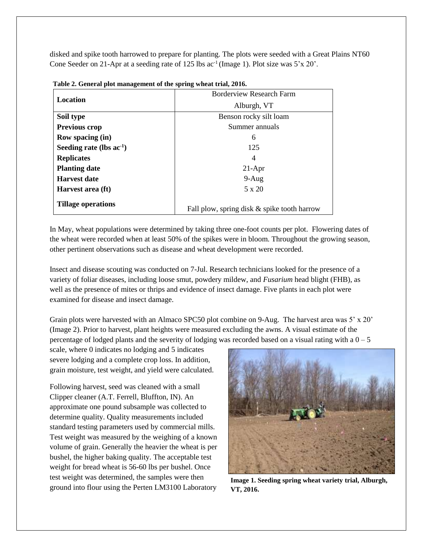disked and spike tooth harrowed to prepare for planting. The plots were seeded with a Great Plains NT60 Cone Seeder on 21-Apr at a seeding rate of 125 lbs  $ac^{-1}$  (Image 1). Plot size was  $5'x 20'$ .

| Location                               | <b>Borderview Research Farm</b>             |  |  |  |
|----------------------------------------|---------------------------------------------|--|--|--|
|                                        | Alburgh, VT                                 |  |  |  |
| Soil type                              | Benson rocky silt loam                      |  |  |  |
| <b>Previous crop</b><br>Summer annuals |                                             |  |  |  |
| <b>Row spacing (in)</b>                | 6                                           |  |  |  |
| Seeding rate (lbs $ac^{-1}$ )          | 125                                         |  |  |  |
| <b>Replicates</b>                      | 4                                           |  |  |  |
| <b>Planting date</b>                   | $21-Apr$                                    |  |  |  |
| <b>Harvest date</b>                    | $9-Aug$                                     |  |  |  |
| Harvest area (ft)                      | 5 x 20                                      |  |  |  |
| <b>Tillage operations</b>              | Fall plow, spring disk & spike tooth harrow |  |  |  |

**Table 2. General plot management of the spring wheat trial, 2016.**

In May, wheat populations were determined by taking three one-foot counts per plot. Flowering dates of the wheat were recorded when at least 50% of the spikes were in bloom. Throughout the growing season, other pertinent observations such as disease and wheat development were recorded.

Insect and disease scouting was conducted on 7-Jul. Research technicians looked for the presence of a variety of foliar diseases, including loose smut, powdery mildew, and *Fusarium* head blight (FHB), as well as the presence of mites or thrips and evidence of insect damage. Five plants in each plot were examined for disease and insect damage.

Grain plots were harvested with an Almaco SPC50 plot combine on 9-Aug. The harvest area was 5' x 20' (Image 2). Prior to harvest, plant heights were measured excluding the awns. A visual estimate of the percentage of lodged plants and the severity of lodging was recorded based on a visual rating with a  $0 - 5$ 

scale, where 0 indicates no lodging and 5 indicates severe lodging and a complete crop loss. In addition, grain moisture, test weight, and yield were calculated.

Following harvest, seed was cleaned with a small Clipper cleaner (A.T. Ferrell, Bluffton, IN). An approximate one pound subsample was collected to determine quality. Quality measurements included standard testing parameters used by commercial mills. Test weight was measured by the weighing of a known volume of grain. Generally the heavier the wheat is per bushel, the higher baking quality. The acceptable test weight for bread wheat is 56-60 lbs per bushel. Once test weight was determined, the samples were then ground into flour using the Perten LM3100 Laboratory



**Image 1. Seeding spring wheat variety trial, Alburgh, VT, 2016.**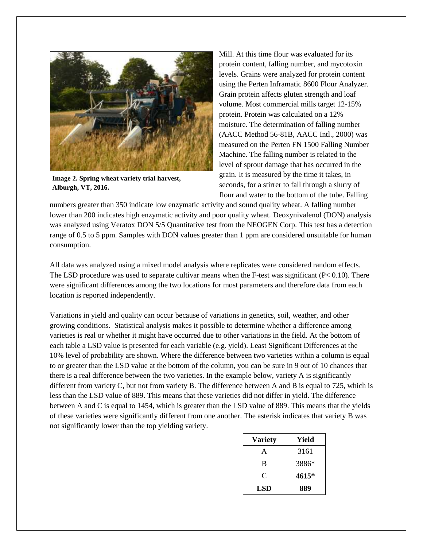

**Image 2. Spring wheat variety trial harvest, Alburgh, VT, 2016.**

Mill. At this time flour was evaluated for its protein content, falling number, and mycotoxin levels. Grains were analyzed for protein content using the Perten Inframatic 8600 Flour Analyzer. Grain protein affects gluten strength and loaf volume. Most commercial mills target 12-15% protein. Protein was calculated on a 12% moisture. The determination of falling number (AACC Method 56-81B, AACC Intl., 2000) was measured on the Perten FN 1500 Falling Number Machine. The falling number is related to the level of sprout damage that has occurred in the grain. It is measured by the time it takes, in seconds, for a stirrer to fall through a slurry of flour and water to the bottom of the tube. Falling

numbers greater than 350 indicate low enzymatic activity and sound quality wheat. A falling number lower than 200 indicates high enzymatic activity and poor quality wheat. Deoxynivalenol (DON) analysis was analyzed using Veratox DON 5/5 Quantitative test from the NEOGEN Corp. This test has a detection range of 0.5 to 5 ppm. Samples with DON values greater than 1 ppm are considered unsuitable for human consumption.

All data was analyzed using a mixed model analysis where replicates were considered random effects. The LSD procedure was used to separate cultivar means when the F-test was significant  $(P< 0.10)$ . There were significant differences among the two locations for most parameters and therefore data from each location is reported independently.

Variations in yield and quality can occur because of variations in genetics, soil, weather, and other growing conditions. Statistical analysis makes it possible to determine whether a difference among varieties is real or whether it might have occurred due to other variations in the field. At the bottom of each table a LSD value is presented for each variable (e.g. yield). Least Significant Differences at the 10% level of probability are shown. Where the difference between two varieties within a column is equal to or greater than the LSD value at the bottom of the column, you can be sure in 9 out of 10 chances that there is a real difference between the two varieties. In the example below, variety A is significantly different from variety C, but not from variety B. The difference between A and B is equal to 725, which is less than the LSD value of 889. This means that these varieties did not differ in yield. The difference between A and C is equal to 1454, which is greater than the LSD value of 889. This means that the yields of these varieties were significantly different from one another. The asterisk indicates that variety B was not significantly lower than the top yielding variety.

| <b>Variety</b> | Yield |
|----------------|-------|
| A              | 3161  |
| B              | 3886* |
| C              | 4615* |
| LSD            | 889   |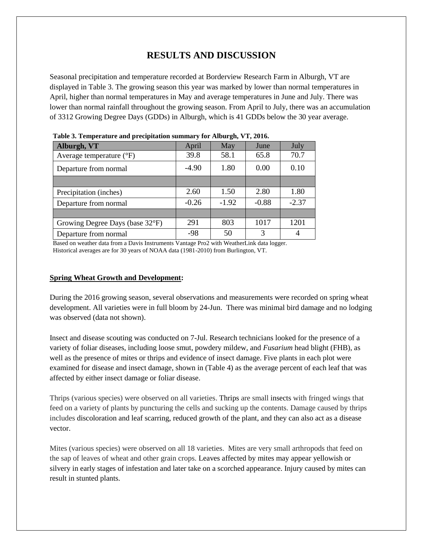# **RESULTS AND DISCUSSION**

Seasonal precipitation and temperature recorded at Borderview Research Farm in Alburgh, VT are displayed in Table 3. The growing season this year was marked by lower than normal temperatures in April, higher than normal temperatures in May and average temperatures in June and July. There was lower than normal rainfall throughout the growing season. From April to July, there was an accumulation of 3312 Growing Degree Days (GDDs) in Alburgh, which is 41 GDDs below the 30 year average.

| Tubic of Temperature and precipitation summary for friourght + 1, 2010. |         |         |         |         |  |  |
|-------------------------------------------------------------------------|---------|---------|---------|---------|--|--|
| Alburgh, VT                                                             | April   | May     | June    | July    |  |  |
| Average temperature $(^{\circ}F)$                                       | 39.8    | 58.1    | 65.8    | 70.7    |  |  |
| Departure from normal                                                   | $-4.90$ | 1.80    | 0.00    | 0.10    |  |  |
|                                                                         |         |         |         |         |  |  |
| Precipitation (inches)                                                  | 2.60    | 1.50    | 2.80    | 1.80    |  |  |
| Departure from normal                                                   | $-0.26$ | $-1.92$ | $-0.88$ | $-2.37$ |  |  |
|                                                                         |         |         |         |         |  |  |
| Growing Degree Days (base 32°F)                                         | 291     | 803     | 1017    | 1201    |  |  |
| Departure from normal                                                   | $-98$   | 50      | 3       | 4       |  |  |

| Table 3. Temperature and precipitation summary for Alburgh, VT, 2016. |  |  |  |  |
|-----------------------------------------------------------------------|--|--|--|--|
|-----------------------------------------------------------------------|--|--|--|--|

Based on weather data from a Davis Instruments Vantage Pro2 with WeatherLink data logger. Historical averages are for 30 years of NOAA data (1981-2010) from Burlington, VT.

#### **Spring Wheat Growth and Development:**

During the 2016 growing season, several observations and measurements were recorded on spring wheat development. All varieties were in full bloom by 24-Jun. There was minimal bird damage and no lodging was observed (data not shown).

Insect and disease scouting was conducted on 7-Jul. Research technicians looked for the presence of a variety of foliar diseases, including loose smut, powdery mildew, and *Fusarium* head blight (FHB), as well as the presence of mites or thrips and evidence of insect damage. Five plants in each plot were examined for disease and insect damage, shown in (Table 4) as the average percent of each leaf that was affected by either insect damage or foliar disease.

Thrips (various species) were observed on all varieties. Thrips are small insects with fringed wings that feed on a variety of plants by puncturing the cells and sucking up the contents. Damage caused by thrips includes discoloration and leaf scarring, reduced growth of the plant, and they can also act as a disease vector.

Mites (various species) were observed on all 18 varieties. Mites are very small arthropods that feed on the sap of leaves of wheat and other grain crops. Leaves affected by mites may appear yellowish or silvery in early stages of infestation and later take on a scorched appearance. Injury caused by mites can result in stunted plants.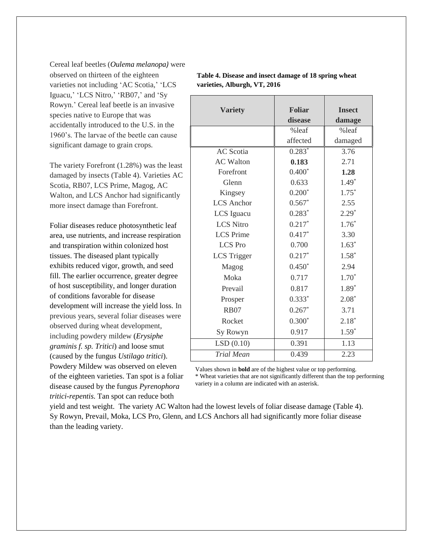Cereal leaf beetles (*Oulema melanopa)* were observed on thirteen of the eighteen varieties not including 'AC Scotia,' 'LCS Iguacu,' 'LCS Nitro,' 'RB07,' and 'Sy Rowyn.' Cereal leaf beetle is an invasive species native to Europe that was accidentally introduced to the U.S. in the 1960's. The larvae of the beetle can cause significant damage to grain crops.

The variety Forefront (1.28%) was the least damaged by insects (Table 4). Varieties AC Scotia, RB07, LCS Prime, Magog, AC Walton, and LCS Anchor had significantly more insect damage than Forefront.

Foliar diseases reduce photosynthetic leaf area, use nutrients, and increase respiration and transpiration within colonized host tissues. The diseased plant typically exhibits reduced vigor, growth, and seed fill. The earlier occurrence, greater degree of host susceptibility, and longer duration of conditions favorable for disease development will increase the yield loss. In previous years, several foliar diseases were observed during wheat development, including powdery mildew (*Erysiphe graminis f. sp. Tritici*) and loose smut (caused by the fungus *Ustilago tritici*). Powdery Mildew was observed on eleven of the eighteen varieties. Tan spot is a foliar

disease caused by the fungus *Pyrenophora tritici-repentis.* Tan spot can reduce both

| <b>Variety</b>     | <b>Foliar</b> | <b>Insect</b> |
|--------------------|---------------|---------------|
|                    | disease       | damage        |
|                    | %leaf         | %leaf         |
|                    | affected      | damaged       |
| <b>AC</b> Scotia   | $0.283*$      | 3.76          |
| <b>AC</b> Walton   | 0.183         | 2.71          |
| Forefront          | $0.400*$      | 1.28          |
| Glenn              | 0.633         | $1.49*$       |
| Kingsey            | $0.200*$      | $1.75*$       |
| <b>LCS</b> Anchor  | $0.567*$      | 2.55          |
| LCS Iguacu         | $0.283*$      | $2.29*$       |
| <b>LCS Nitro</b>   | $0.217*$      | $1.76*$       |
| <b>LCS</b> Prime   | $0.417*$      | 3.30          |
| <b>LCS</b> Pro     | 0.700         | $1.63*$       |
| <b>LCS</b> Trigger | $0.217*$      | $1.58*$       |
| Magog              | $0.450*$      | 2.94          |
| Moka               | 0.717         | $1.70*$       |
| Prevail            | 0.817         | 1.89*         |
| Prosper            | $0.333*$      | $2.08*$       |
| <b>RB07</b>        | $0.267*$      | 3.71          |
| Rocket             | $0.300*$      | $2.18*$       |
| Sy Rowyn           | 0.917         | $1.59*$       |
| LSD(0.10)          | 0.391         | 1.13          |
| <b>Trial Mean</b>  | 0.439         | 2.23          |

**Table 4. Disease and insect damage of 18 spring wheat varieties, Alburgh, VT, 2016**

Values shown in **bold** are of the highest value or top performing. \* Wheat varieties that are not significantly different than the top performing variety in a column are indicated with an asterisk.

yield and test weight. The variety AC Walton had the lowest levels of foliar disease damage (Table 4). Sy Rowyn, Prevail, Moka, LCS Pro, Glenn, and LCS Anchors all had significantly more foliar disease than the leading variety.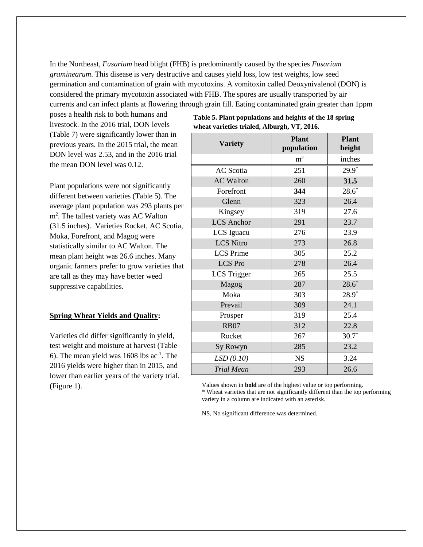In the Northeast, *Fusarium* head blight (FHB) is predominantly caused by the species *Fusarium graminearum*. This disease is very destructive and causes yield loss, low test weights, low seed germination and contamination of grain with mycotoxins. A vomitoxin called Deoxynivalenol (DON) is considered the primary mycotoxin associated with FHB. The spores are usually transported by air currents and can infect plants at flowering through grain fill. Eating contaminated grain greater than 1ppm

poses a health risk to both humans and livestock. In the 2016 trial, DON levels (Table 7) were significantly lower than in previous years. In the 2015 trial, the mean DON level was 2.53, and in the 2016 trial the mean DON level was 0.12.

Plant populations were not significantly different between varieties (Table 5). The average plant population was 293 plants per m<sup>2</sup>. The tallest variety was AC Walton (31.5 inches). Varieties Rocket, AC Scotia, Moka, Forefront, and Magog were statistically similar to AC Walton. The mean plant height was 26.6 inches. Many organic farmers prefer to grow varieties that are tall as they may have better weed suppressive capabilities.

#### **Spring Wheat Yields and Quality:**

Varieties did differ significantly in yield, test weight and moisture at harvest (Table 6). The mean yield was  $1608$  lbs ac<sup>-1</sup>. The 2016 yields were higher than in 2015, and lower than earlier years of the variety trial. (Figure 1).

| <b>Variety</b>     | <b>Plant</b><br>population | <b>Plant</b><br>height |  |
|--------------------|----------------------------|------------------------|--|
|                    | m <sup>2</sup>             | inches                 |  |
| AC Scotia          | 251                        | $29.9^*$               |  |
| <b>AC Walton</b>   | 260                        | 31.5                   |  |
| Forefront          | 344                        | $28.6*$                |  |
| Glenn              | 323                        | 26.4                   |  |
| Kingsey            | 319                        | 27.6                   |  |
| <b>LCS</b> Anchor  | 291                        | 23.7                   |  |
| LCS Iguacu         | 276                        | 23.9                   |  |
| <b>LCS Nitro</b>   | 273                        | 26.8                   |  |
| <b>LCS</b> Prime   | 305                        | 25.2                   |  |
| <b>LCS</b> Pro     | 278                        | 26.4                   |  |
| <b>LCS</b> Trigger | 265                        | 25.5                   |  |
| Magog              | 287                        | $28.6*$                |  |
| Moka               | 303                        | $28.9*$                |  |
| Prevail            | 309                        | 24.1                   |  |
| Prosper            | 319                        | 25.4                   |  |
| <b>RB07</b>        | 312                        | 22.8                   |  |
| Rocket             | 267                        | $30.7*$                |  |
| Sy Rowyn           | 285                        | 23.2                   |  |
| LSD(0.10)          | <b>NS</b>                  | 3.24                   |  |
| <b>Trial Mean</b>  | 293                        | 26.6                   |  |

**Table 5. Plant populations and heights of the 18 spring wheat varieties trialed, Alburgh, VT, 2016.**

Values shown in **bold** are of the highest value or top performing.

\* Wheat varieties that are not significantly different than the top performing variety in a column are indicated with an asterisk.

NS, No significant difference was determined.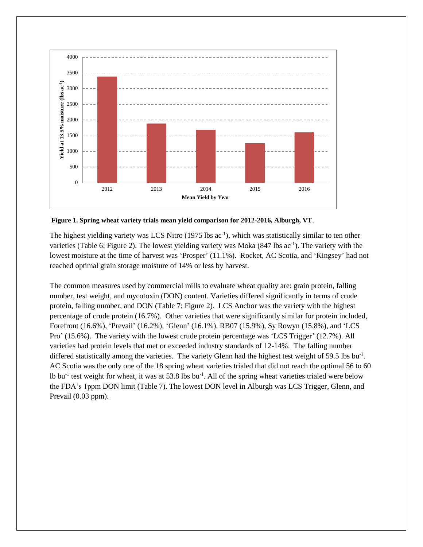

**Figure 1. Spring wheat variety trials mean yield comparison for 2012-2016, Alburgh, VT**.

The highest yielding variety was LCS Nitro (1975 lbs ac<sup>-1</sup>), which was statistically similar to ten other varieties (Table 6; Figure 2). The lowest yielding variety was Moka (847 lbs ac<sup>-1</sup>). The variety with the lowest moisture at the time of harvest was 'Prosper' (11.1%). Rocket, AC Scotia, and 'Kingsey' had not reached optimal grain storage moisture of 14% or less by harvest.

The common measures used by commercial mills to evaluate wheat quality are: grain protein, falling number, test weight, and mycotoxin (DON) content. Varieties differed significantly in terms of crude protein, falling number, and DON (Table 7; Figure 2). LCS Anchor was the variety with the highest percentage of crude protein (16.7%). Other varieties that were significantly similar for protein included, Forefront (16.6%), 'Prevail' (16.2%), 'Glenn' (16.1%), RB07 (15.9%), Sy Rowyn (15.8%), and 'LCS Pro' (15.6%). The variety with the lowest crude protein percentage was 'LCS Trigger' (12.7%). All varieties had protein levels that met or exceeded industry standards of 12-14%. The falling number differed statistically among the varieties. The variety Glenn had the highest test weight of 59.5 lbs bu<sup>-1</sup>. AC Scotia was the only one of the 18 spring wheat varieties trialed that did not reach the optimal 56 to 60 Ib bu<sup>-1</sup> test weight for wheat, it was at 53.8 lbs bu<sup>-1</sup>. All of the spring wheat varieties trialed were below the FDA's 1ppm DON limit (Table 7). The lowest DON level in Alburgh was LCS Trigger, Glenn, and Prevail (0.03 ppm).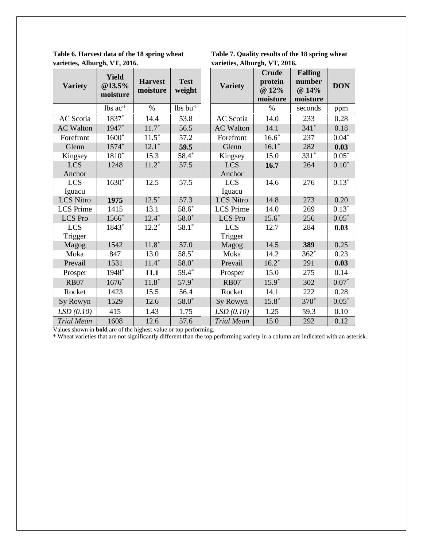**Table 6. Harvest data of the 18 spring wheat Table 7. Quality results of the 18 spring wheat varieties, Alburgh, VT, 2016. varieties, Alburgh, VT, 2016.** 

| <b>Variety</b>       | <b>Yield</b><br>@13.5%<br>moisture | <b>Harvest</b><br>moisture | <b>Test</b><br>weight  | <b>Variety</b>       | <b>Crude</b><br>protein<br>@ 12%<br>moisture | <b>Falling</b><br>number<br>@ 14%<br>moisture | <b>DON</b>   |
|----------------------|------------------------------------|----------------------------|------------------------|----------------------|----------------------------------------------|-----------------------------------------------|--------------|
|                      | $lbs$ $ac^{-1}$                    | $\%$                       | $lbs$ bu <sup>-1</sup> |                      | %                                            | seconds                                       | ppm          |
| <b>AC</b> Scotia     | $1837*$                            | 14.4                       | 53.8                   | <b>AC</b> Scotia     | 14.0                                         | 233                                           | 0.28         |
| <b>AC Walton</b>     | 1947*                              | $11.7*$                    | 56.5                   | <b>AC Walton</b>     | 14.1                                         | $341*$                                        | 0.18         |
| Forefront            | $1600*$                            | $11.5*$                    | 57.2                   | Forefront            | $16.6*$                                      | 237                                           | $0.04*$      |
| Glenn                | 1574*                              | $12.1*$                    | 59.5                   | Glenn                | $16.1*$                                      | 282                                           | 0.03         |
| Kingsey              | 1810*                              | 15.3                       | 58.4*                  | Kingsey              | 15.0                                         | $331*$                                        | $0.05*$      |
| <b>LCS</b><br>Anchor | 1248                               | $11.2*$                    | 57.5                   | <b>LCS</b><br>Anchor | 16.7                                         | 264                                           | $0.10*$      |
| <b>LCS</b><br>Iguacu | $1630*$                            | 12.5                       | 57.5                   | <b>LCS</b><br>Iguacu | 14.6                                         | 276                                           | $0.13*$      |
| <b>LCS Nitro</b>     | 1975                               | $12.5^*$                   | 57.3                   | <b>LCS Nitro</b>     | 14.8                                         | 273                                           | 0.20         |
| <b>LCS</b> Prime     | 1415                               | 13.1                       | $58.6*$                | <b>LCS</b> Prime     | 14.0                                         | 269                                           | $0.13*$      |
| <b>LCS</b> Pro       | 1566*                              | $12.4*$                    | $58.0*$                | <b>LCS</b> Pro       | $15.6*$                                      | 256                                           | $0.05*$      |
| <b>LCS</b>           | 1843*                              | $12.2*$                    | $58.1*$                | <b>LCS</b>           | 12.7                                         | 284                                           | 0.03         |
| Trigger              |                                    |                            |                        | Trigger              |                                              |                                               |              |
| Magog                | 1542<br>847                        | $11.8*$                    | 57.0                   | Magog                | 14.5                                         | 389                                           | 0.25         |
| Moka<br>Prevail      | 1531                               | 13.0<br>$11.4*$            | $58.5*$<br>$58.0*$     | Moka<br>Prevail      | 14.2<br>$16.2*$                              | $362*$                                        | 0.23<br>0.03 |
|                      |                                    |                            |                        |                      |                                              | 291                                           |              |
| Prosper              | 1948*                              | 11.1                       | 59.4*                  | Prosper              | 15.0                                         | 275                                           | 0.14         |
| <b>RB07</b>          | $1676*$                            | $11.8*$                    | $57.9*$                | <b>RB07</b>          | $15.9*$                                      | 302                                           | $0.07*$      |
| Rocket               | 1423                               | 15.5                       | 56.4                   | Rocket               | 14.1                                         | 222                                           | 0.28         |
| Sy Rowyn             | 1529                               | 12.6                       | $58.0*$                | Sy Rowyn             | $15.8*$                                      | 370 <sup>*</sup>                              | $0.05*$      |
| LSD(0.10)            | 415                                | 1.43                       | 1.75                   | LSD(0.10)            | 1.25                                         | 59.3                                          | 0.10         |
| <b>Trial Mean</b>    | 1608                               | 12.6                       | 57.6                   | <b>Trial Mean</b>    | 15.0                                         | 292                                           | 0.12         |

Values shown in **bold** are of the highest value or top performing.

\* Wheat varieties that are not significantly different than the top performing variety in a column are indicated with an asterisk.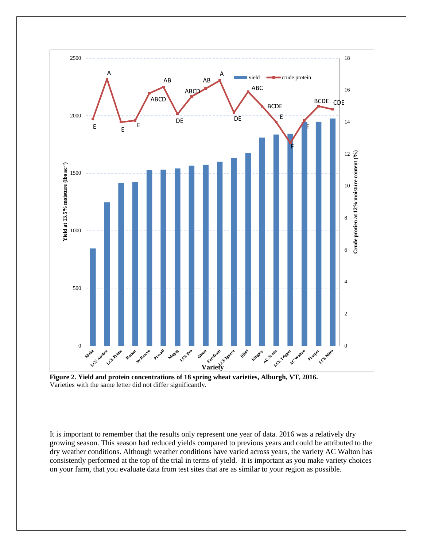



It is important to remember that the results only represent one year of data. 2016 was a relatively dry growing season. This season had reduced yields compared to previous years and could be attributed to the dry weather conditions. Although weather conditions have varied across years, the variety AC Walton has consistently performed at the top of the trial in terms of yield. It is important as you make variety choices on your farm, that you evaluate data from test sites that are as similar to your region as possible.